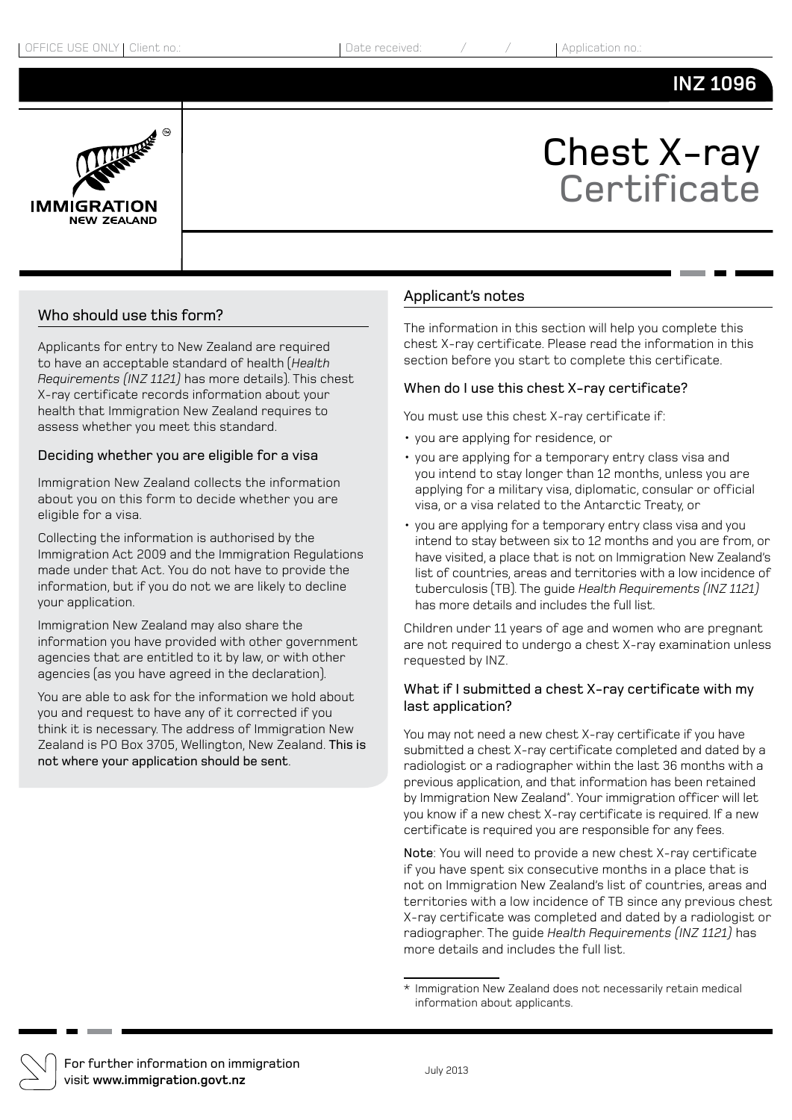# **INZ 1096**



# Chest X-ray **Certificate**

### Who should use this form?

Applicants for entry to New Zealand are required to have an acceptable standard of health (*Health Requirements (INZ 1121)* has more details). This chest X-ray certificate records information about your health that Immigration New Zealand requires to assess whether you meet this standard.

#### Deciding whether you are eligible for a visa

Immigration New Zealand collects the information about you on this form to decide whether you are eligible for a visa.

Collecting the information is authorised by the Immigration Act 2009 and the Immigration Regulations made under that Act. You do not have to provide the information, but if you do not we are likely to decline your application.

Immigration New Zealand may also share the information you have provided with other government agencies that are entitled to it by law, or with other agencies (as you have agreed in the declaration).

You are able to ask for the information we hold about you and request to have any of it corrected if you think it is necessary. The address of Immigration New Zealand is PO Box 3705, Wellington, New Zealand. This is not where your application should be sent.

#### Applicant's notes

The information in this section will help you complete this chest X-ray certificate. Please read the information in this section before you start to complete this certificate.

#### When do I use this chest X-ray certificate?

You must use this chest X-ray certificate if:

- • you are applying for residence, or
- • you are applying for a temporary entry class visa and you intend to stay longer than 12 months, unless you are applying for a military visa, diplomatic, consular or official visa, or a visa related to the Antarctic Treaty, or
- • you are applying for a temporary entry class visa and you intend to stay between six to 12 months and you are from, or have visited, a place that is not on Immigration New Zealand's list of countries, areas and territories with a low incidence of tuberculosis (TB). The guide *Health Requirements (INZ 1121)* has more details and includes the full list.

Children under 11 years of age and women who are pregnant are not required to undergo a chest X-ray examination unless requested by INZ.

#### What if I submitted a chest X-ray certificate with my last application?

You may not need a new chest X-ray certificate if you have submitted a chest X-ray certificate completed and dated by a radiologist or a radiographer within the last 36 months with a previous application, and that information has been retained by Immigration New Zealand\* . Your immigration officer will let you know if a new chest X-ray certificate is required. If a new certificate is required you are responsible for any fees.

Note: You will need to provide a new chest X-ray certificate if you have spent six consecutive months in a place that is not on Immigration New Zealand's list of countries, areas and territories with a low incidence of TB since any previous chest X-ray certificate was completed and dated by a radiologist or radiographer. The guide *Health Requirements (INZ 1121)* has more details and includes the full list.



For further information on immigration visit **www.immigration.govt.nz** July 2013

<sup>\*</sup> Immigration New Zealand does not necessarily retain medical information about applicants.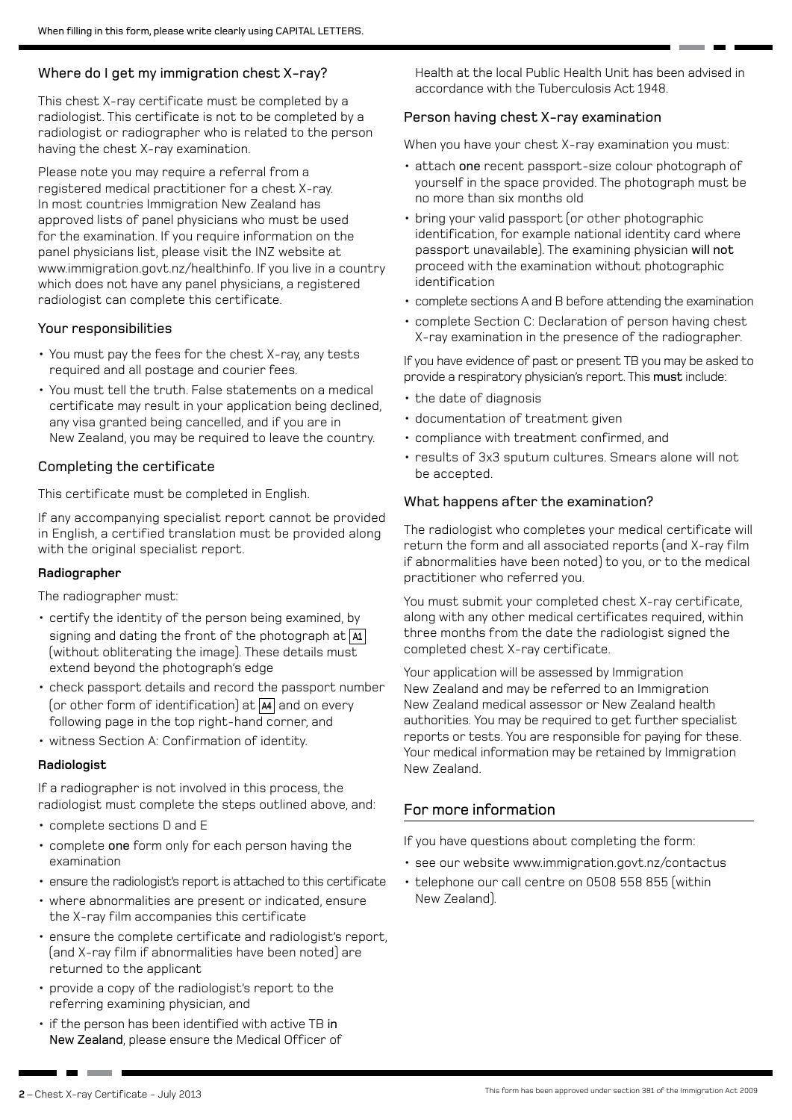## Where do I get my immigration chest X-ray?

This chest X-ray certificate must be completed by a radiologist. This certificate is not to be completed by a radiologist or radiographer who is related to the person having the chest X-ray examination.

Please note you may require a referral from a registered medical practitioner for a chest X-ray. In most countries Immigration New Zealand has approved lists of panel physicians who must be used for the examination. If you require information on the panel physicians list, please visit the INZ website at www.immigration.govt.nz/healthinfo. If you live in a country which does not have any panel physicians, a registered radiologist can complete this certificate.

#### Your responsibilities

- • You must pay the fees for the chest X-ray, any tests required and all postage and courier fees.
- You must tell the truth. False statements on a medical certificate may result in your application being declined, any visa granted being cancelled, and if you are in New Zealand, you may be required to leave the country.

### Completing the certificate

This certificate must be completed in English.

If any accompanying specialist report cannot be provided in English, a certified translation must be provided along with the original specialist report.

#### **Radiographer**

The radiographer must:

- certify the identity of the person being examined, by signing and dating the front of the photograph at **A1** (without obliterating the image). These details must extend beyond the photograph's edge
- check passport details and record the passport number (or other form of identification) at **A4** and on every following page in the top right-hand corner, and
- • witness Section A: Confirmation of identity.

#### **Radiologist**

If a radiographer is not involved in this process, the radiologist must complete the steps outlined above, and:

- • complete sections D and E
- complete one form only for each person having the examination
- ensure the radiologist's report is attached to this certificate
- where abnormalities are present or indicated, ensure the X-ray film accompanies this certificate
- ensure the complete certificate and radiologist's report, (and X-ray film if abnormalities have been noted) are returned to the applicant
- provide a copy of the radiologist's report to the referring examining physician, and
- if the person has been identified with active TB in New Zealand, please ensure the Medical Officer of

Health at the local Public Health Unit has been advised in accordance with the Tuberculosis Act 1948.

# Person having chest X-ray examination

When you have your chest X-ray examination you must:

- attach one recent passport-size colour photograph of yourself in the space provided. The photograph must be no more than six months old
- • bring your valid passport (or other photographic identification, for example national identity card where passport unavailable). The examining physician will not proceed with the examination without photographic identification
- complete sections A and B before attending the examination
- complete Section C: Declaration of person having chest X-ray examination in the presence of the radiographer.

If you have evidence of past or present TB you may be asked to provide a respiratory physician's report. This must include:

- the date of diagnosis
- documentation of treatment given
- • compliance with treatment confirmed, and
- • results of 3x3 sputum cultures. Smears alone will not be accepted.

### What happens after the examination?

The radiologist who completes your medical certificate will return the form and all associated reports (and X-ray film if abnormalities have been noted) to you, or to the medical practitioner who referred you.

You must submit your completed chest X-ray certificate, along with any other medical certificates required, within three months from the date the radiologist signed the completed chest X-ray certificate.

Your application will be assessed by Immigration New Zealand and may be referred to an Immigration New Zealand medical assessor or New Zealand health authorities. You may be required to get further specialist reports or tests. You are responsible for paying for these. Your medical information may be retained by Immigration New Zealand.

# For more information

If you have questions about completing the form:

- see our website www.immigration.govt.nz/contactus
- telephone our call centre on 0508 558 855 (within New Zealand).

**The Common**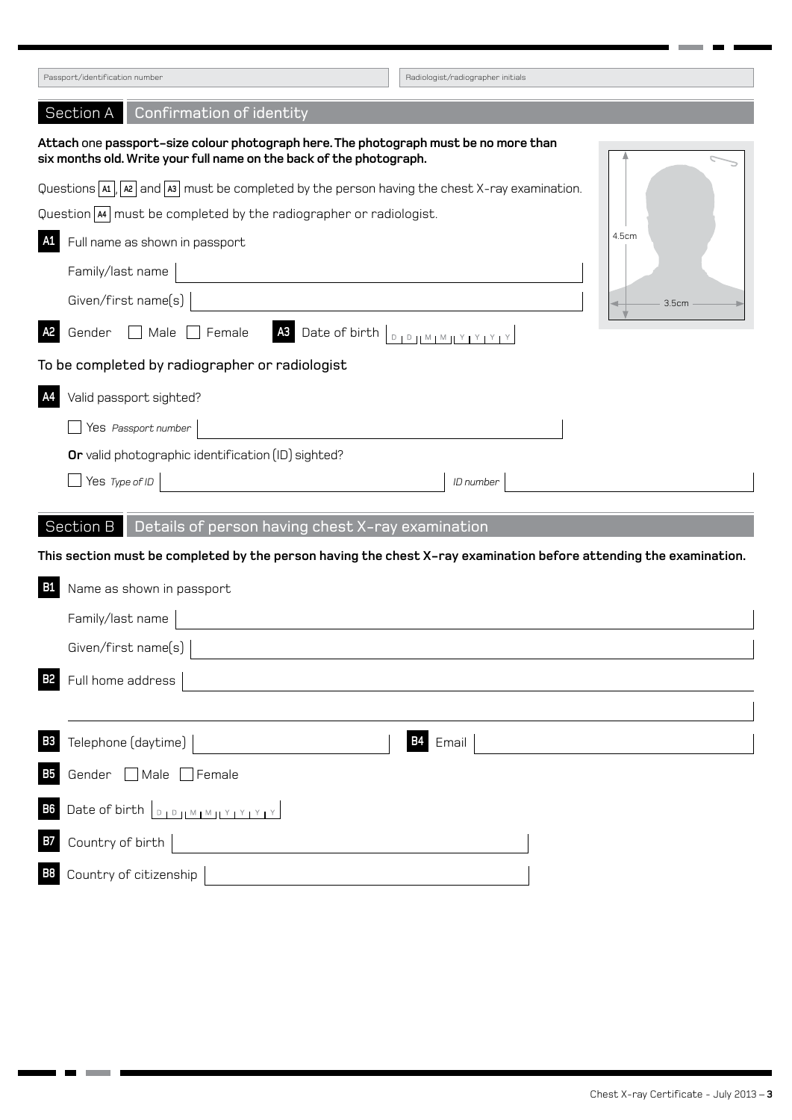| Passport/identification number                                                                                                                              | Radiologist/radiographer initials |  |
|-------------------------------------------------------------------------------------------------------------------------------------------------------------|-----------------------------------|--|
| Confirmation of identity<br>Section A                                                                                                                       |                                   |  |
| Attach one passport-size colour photograph here. The photograph must be no more than<br>six months old. Write your full name on the back of the photograph. |                                   |  |
| Questions $\overline{A_1}$ , $\overline{A_2}$ and $\overline{A_3}$ must be completed by the person having the chest X-ray examination.                      |                                   |  |
| Question [M] must be completed by the radiographer or radiologist.                                                                                          |                                   |  |
| 4.5cm<br>A1<br>Full name as shown in passport                                                                                                               |                                   |  |
| Family/last name                                                                                                                                            |                                   |  |
| Given/first name(s)                                                                                                                                         | 3.5cm                             |  |
| A <sub>3</sub> Date of birth <u>Didimental Year</u><br>A <sub>2</sub><br>Gender<br>$\Box$ Male $\Box$ Female                                                |                                   |  |
| To be completed by radiographer or radiologist                                                                                                              |                                   |  |
| A4<br>Valid passport sighted?                                                                                                                               |                                   |  |
| Yes Passport number                                                                                                                                         |                                   |  |
| Or valid photographic identification (ID) sighted?                                                                                                          |                                   |  |
| Yes Type of ID                                                                                                                                              | ID number                         |  |
| Section B<br>Details of person having chest X-ray examination                                                                                               |                                   |  |
| This section must be completed by the person having the chest X-ray examination before attending the examination.                                           |                                   |  |
| <b>B1</b><br>Name as shown in passport                                                                                                                      |                                   |  |
| Family/last name                                                                                                                                            |                                   |  |
| Given/first name(s)                                                                                                                                         |                                   |  |
| Full home address                                                                                                                                           |                                   |  |
|                                                                                                                                                             |                                   |  |
| Telephone (daytime)<br><b>B3</b>                                                                                                                            | <b>B4</b><br>Email                |  |
| Gender Male Female<br><b>B5</b>                                                                                                                             |                                   |  |
| Date of birth $\boxed{D_1D_2[M_1M_1Y_1Y_1Y_1Y_2]}$<br><b>B6</b>                                                                                             |                                   |  |
| Country of birth<br><b>B7</b><br><u> 1989 - John Stein, Amerikaansk politiker (</u>                                                                         |                                   |  |
| Country of citizenship<br>B8                                                                                                                                |                                   |  |

T. ٠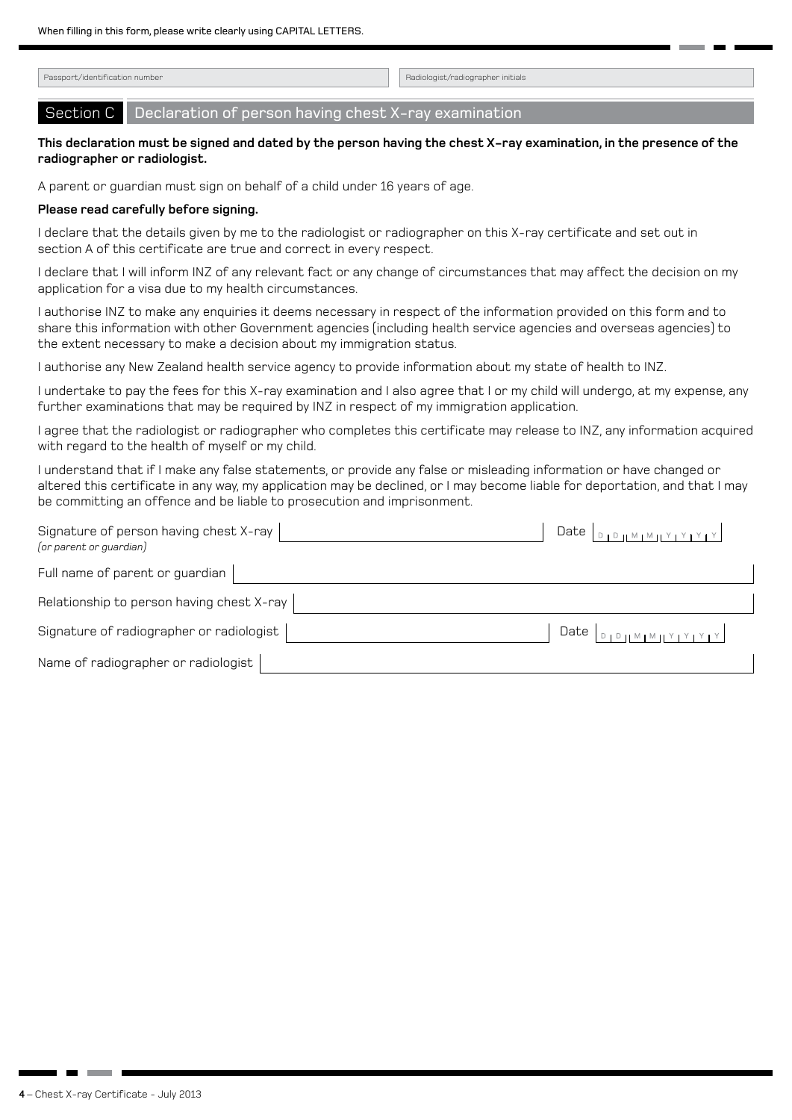Passport/identification number and the control of the control of the control of the control of the control of the control of the control of the control of the control of the control of the control of the control of the con

Section C Declaration of person having chest X-ray examination

#### **This declaration must be signed and dated by the person having the chest X-ray examination, in the presence of the radiographer or radiologist.**

A parent or guardian must sign on behalf of a child under 16 years of age.

#### **Please read carefully before signing.**

I declare that the details given by me to the radiologist or radiographer on this X-ray certificate and set out in section A of this certificate are true and correct in every respect.

I declare that I will inform INZ of any relevant fact or any change of circumstances that may affect the decision on my application for a visa due to my health circumstances.

I authorise INZ to make any enquiries it deems necessary in respect of the information provided on this form and to share this information with other Government agencies (including health service agencies and overseas agencies) to the extent necessary to make a decision about my immigration status.

I authorise any New Zealand health service agency to provide information about my state of health to INZ.

I undertake to pay the fees for this X-ray examination and I also agree that I or my child will undergo, at my expense, any further examinations that may be required by INZ in respect of my immigration application.

I agree that the radiologist or radiographer who completes this certificate may release to INZ, any information acquired with regard to the health of myself or my child.

I understand that if I make any false statements, or provide any false or misleading information or have changed or altered this certificate in any way, my application may be declined, or I may become liable for deportation, and that I may be committing an offence and be liable to prosecution and imprisonment.

| Signature of person having chest X-ray<br>(or parent or guardian) |  |
|-------------------------------------------------------------------|--|
| Full name of parent or guardian                                   |  |
| Relationship to person having chest X-ray                         |  |
| Signature of radiographer or radiologist                          |  |
| Name of radiographer or radiologist                               |  |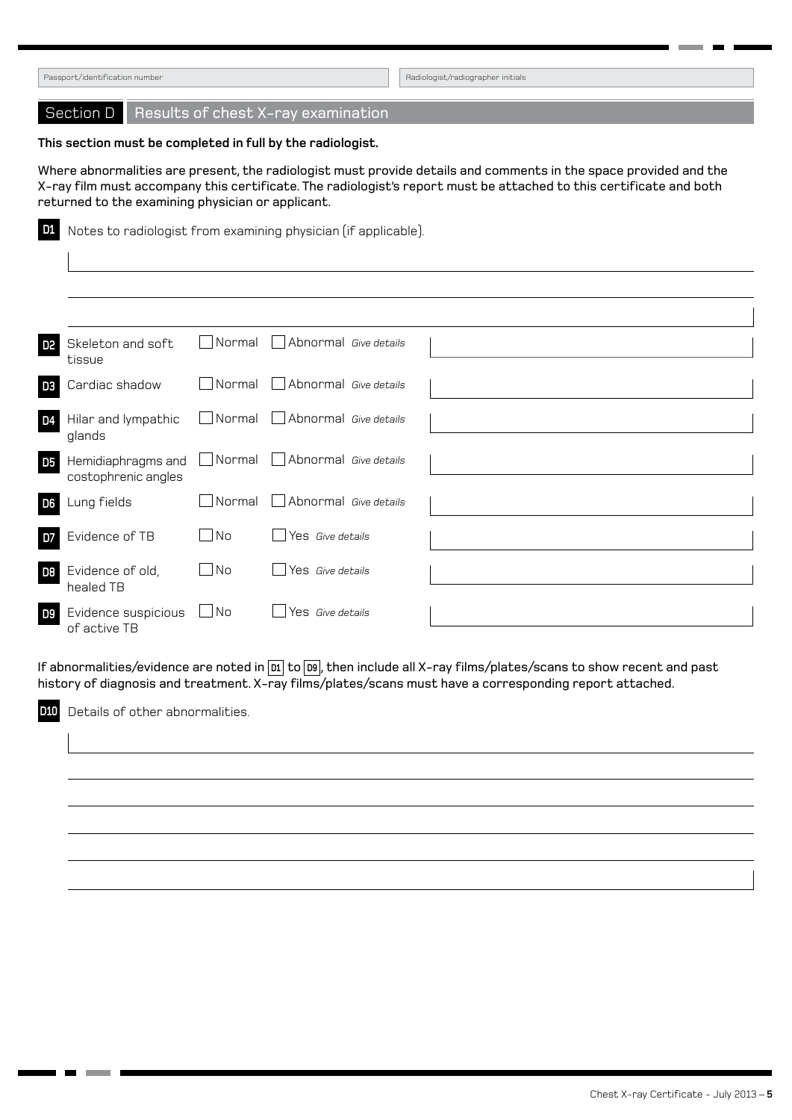Section D Results of chest X-ray examination **This section must be completed in full by the radiologist.**  Where abnormalities are present, the radiologist must provide details and comments in the space provided and the X-ray film must accompany this certificate. The radiologist's report must be attached to this certificate and both returned to the examining physician or applicant. **D1** Notes to radiologist from examining physician (if applicable). **D2** Skeleton and soft tissue Normal Abnormal *Give details* **D3** Cardiac shadow  $\Box$  Normal  $\Box$  Abnormal *Give details* **D4** Hilar and lympathic glands Normal Abnormal *Give details* **D5** Hemidiaphragms and costophrenic angles Normal Abnormal *Give details* **D6** Lung fields **Normal Abnormal Give details D7** Evidence of TB  $\Box$  No  $\Box$  Yes *Give details* **D8** Evidence of old, healed TB No Yes *Give details* **D9** Evidence suspicious  $\Box$  No of active TB **Nes** *Give details* Passport/identification number Radiologist/radiographer initials

If abnormalities/evidence are noted in **D1** to **D9** , then include all X-ray films/plates/scans to show recent and past history of diagnosis and treatment. X-ray films/plates/scans must have a corresponding report attached.

**D10** Details of other abnormalities.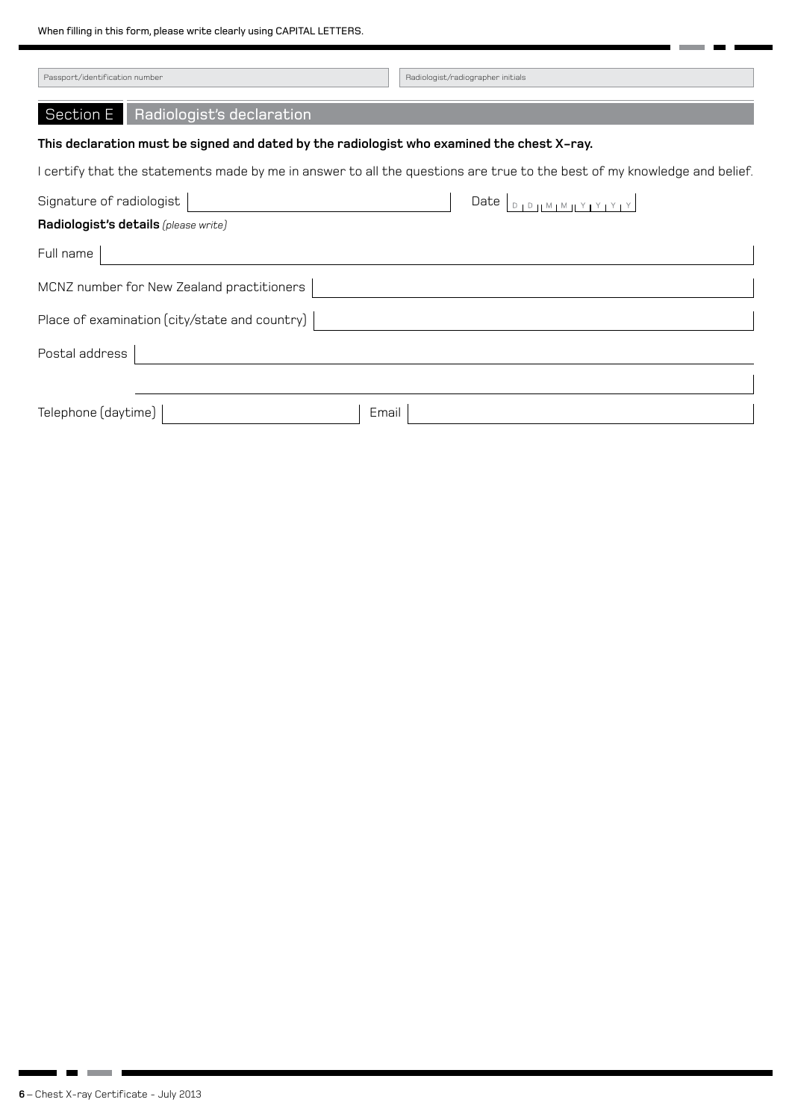When filling in this form, please write clearly using CAPITAL LETTERS.

| Passport/identification number                                                             | Radiologist/radiographer initials                                                                                        |  |
|--------------------------------------------------------------------------------------------|--------------------------------------------------------------------------------------------------------------------------|--|
| Section E<br>Radiologist's declaration                                                     |                                                                                                                          |  |
| This declaration must be signed and dated by the radiologist who examined the chest X–ray. |                                                                                                                          |  |
|                                                                                            | I certify that the statements made by me in answer to all the questions are true to the best of my knowledge and belief. |  |
| Signature of radiologist                                                                   | Date                                                                                                                     |  |
| Radiologist's details (please write)                                                       |                                                                                                                          |  |
| Full name                                                                                  |                                                                                                                          |  |
| MCNZ number for New Zealand practitioners                                                  |                                                                                                                          |  |
| Place of examination (city/state and country)                                              |                                                                                                                          |  |
| Postal address                                                                             |                                                                                                                          |  |
|                                                                                            |                                                                                                                          |  |
| Telephone (daytime)<br>Email                                                               |                                                                                                                          |  |

× i. ۰

. . . . .